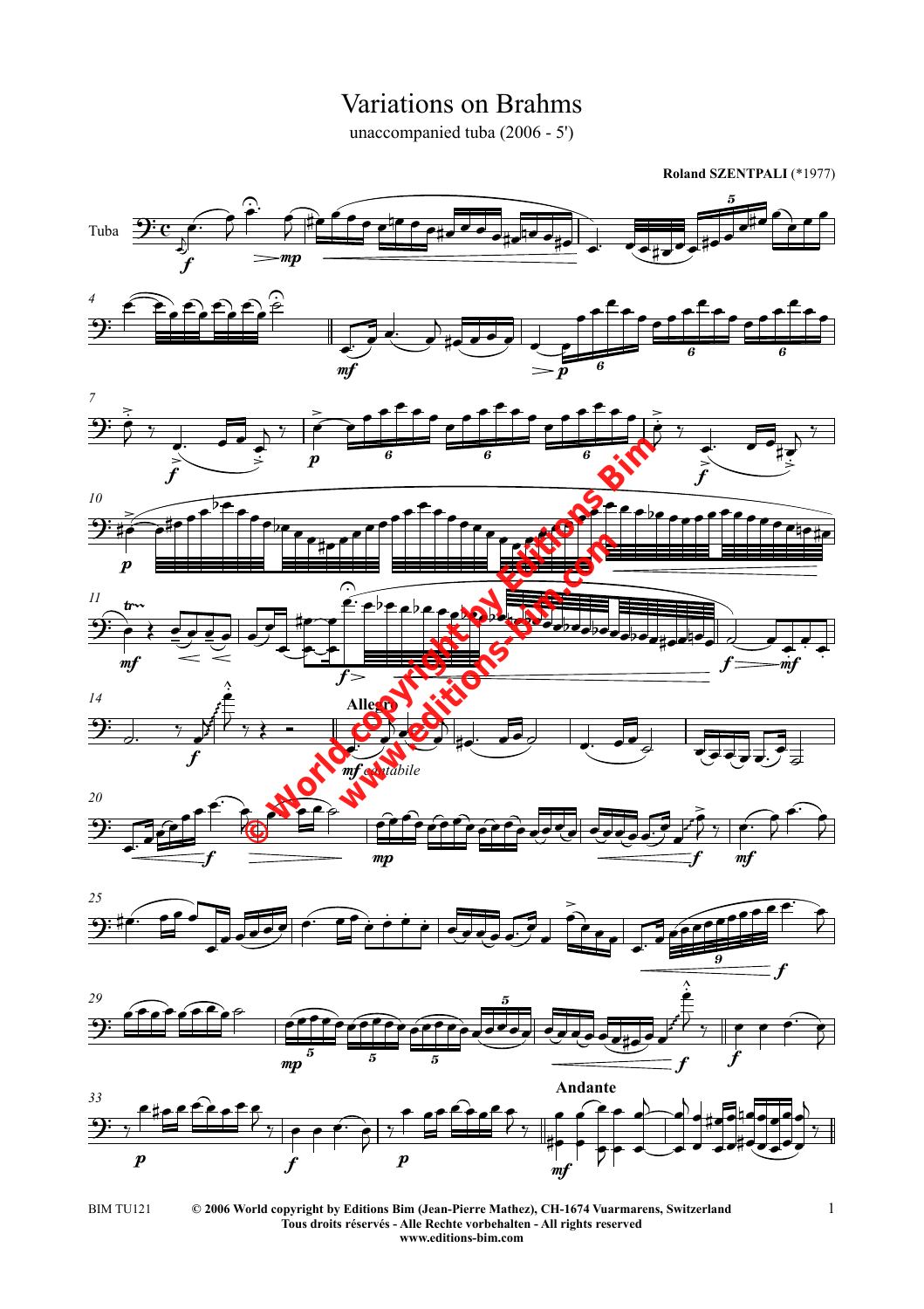## Variations on Brahms

unaccompanied tuba (2006 - 5')

**Roland SZENTPALI** (\*1977)



*<sup>33</sup>* **Andante**  $\frac{1}{\sqrt{2}}$ p f p  $p$ .  $\epsilon$  to  $\epsilon$  for  $\epsilon$  of  $\epsilon$  $\mathcal{C}_{\gamma}$  ,  $\mathcal{C}_{\gamma}$  $\frac{1}{\sqrt{1-\frac{1}{\sqrt{1-\frac{1}{\sqrt{1-\frac{1}{\sqrt{1-\frac{1}{\sqrt{1-\frac{1}{\sqrt{1-\frac{1}{\sqrt{1-\frac{1}{\sqrt{1-\frac{1}{\sqrt{1-\frac{1}{\sqrt{1-\frac{1}{\sqrt{1-\frac{1}{\sqrt{1-\frac{1}{\sqrt{1-\frac{1}{\sqrt{1-\frac{1}{\sqrt{1-\frac{1}{\sqrt{1-\frac{1}{\sqrt{1-\frac{1}{\sqrt{1-\frac{1}{\sqrt{1-\frac{1}{\sqrt{1-\frac{1}{\sqrt{1-\frac{1}{\sqrt{1-\frac{1}{\sqrt{1-\frac{1}{\sqrt{1-\frac{1$  $^{\circ}$  or  $^{\circ}$  or  $^{\circ}$  $\frac{1}{7}$  $\overline{\phantom{a}}$ %)  $\epsilon$  $\overline{\bullet}$ Andante % 7  $\bullet$  $\overline{\bullet}$  $\frac{1}{2}$  $\overline{b}$  $\overline{\phantom{0}}$ |<br>|<br>|  $\overline{b}$  $\overline{\phantom{0}}$  $\frac{1}{\sqrt{2}}$  $\overline{\phantom{0}}$ %)  $\overline{\phantom{0}}$ **=**  $\overline{\phantom{0}}$  $\blacklozenge$  $\overline{\phantom{a}}$ **.**  $\overline{\phantom{0}}$  $\overline{\phantom{0}}$  $\overline{\phantom{0}}$ %  $\overline{\phantom{0}}$  $\blacklozenge$  $\overline{a}$ .

 $m p$   $\qquad \qquad$   $\qquad \qquad$   $\qquad \qquad$   $\qquad \qquad$   $\qquad \qquad$   $\qquad \qquad$   $\qquad \qquad$   $\qquad \qquad$   $\qquad \qquad$   $\qquad \qquad$   $\qquad \qquad$   $\qquad \qquad$   $\qquad \qquad$   $\qquad \qquad$   $\qquad \qquad$   $\qquad \qquad$   $\qquad \qquad$   $\qquad \qquad$   $\qquad \qquad$   $\qquad \qquad$   $\qquad \qquad$   $\qquad \qquad$   $\qquad \qquad$   $\qquad \qquad$ 

 $\frac{5}{5}$   $\frac{5}{5}$   $\frac{1}{2}$   $\frac{1}{5}$   $\frac{1}{2}$ 



**© 2006 World copyright by Editions Bim (Jean-Pierre Mathez), CH-1674 Vuarmarens, Switzerland Tous droits réservés - Alle Rechte vorbehalten - All rights reserved www.editions-bim.com** BIM TU121 © 2006 World copyright by Editions Bim (Jean-Pierre Mathez), CH-1674 Vuarmarens, Switzerland 1